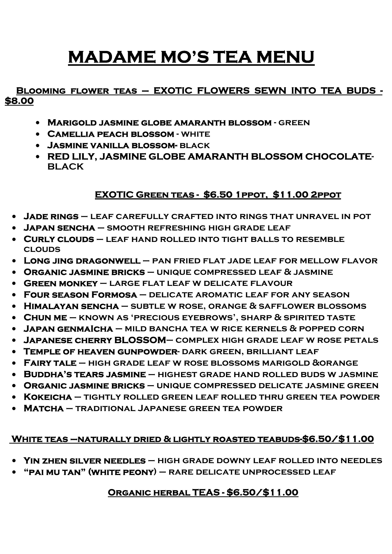# **MADAME MO'S TEA MENU**

#### **Blooming flower teas – EXOTIC FLOWERS SEWN INTO TEA BUDS - \$8.00**

- **Marigold jasmine globe amaranth blossom green**
- **Camellia peach blossom white**
- **Jasmine vanilla blossom- black**
- **RED LILY, JASMINE GLOBE AMARANTH BLOSSOM CHOCOLATE-BLACK**

# **EXOTIC Green teas - \$6.50 1ppot, \$11.00 2ppot**

- **Jade rings leaf carefully crafted into rings that unravel in pot**
- **Japan sencha smooth refreshing high grade leaf**
- **Curly clouds leaf hand rolled into tight balls to resemble clouds**
- **Long jing dragonwell pan fried flat jade leaf for mellow flavor**
- **Organic jasmine bricks unique compressed leaf & jasmine**
- **Green monkey large flat leaf w delicate flavour**
- **Four season Formosa delicate aromatic leaf for any season**
- **Himalayan sencha subtle w rose, orange & safflower blossoms**
- **Chun me known as 'precious eyebrows', sharp & spirited taste**
- **Japan genmaIcha mild bancha tea w rice kernels & popped corn**
- **Japanese cherry BLOSSOM– complex high grade leaf w rose petals**
- **Temple of heaven gunpowder- dark green, brilliant leaf**
- **Fairy tale high grade leaf w rose blossoms marigold &orange**
- **Buddha's tears jasmine highest grade hand rolled buds w jasmine**
- **Organic jasmine bricks unique compressed delicate jasmine green**
- **Kokeicha tightly rolled green leaf rolled thru green tea powder**
- **Matcha traditional Japanese green tea powder**

## **White teas –naturally dried & lightly roasted teabuds-\$6.50/\$11.00**

- **Yin zhen silver needles high grade downy leaf rolled into needles**
- **"pai mu tan" (white peony) rare delicate unprocessed leaf**

# **Organic herbal TEAS - \$6.50/\$11.00**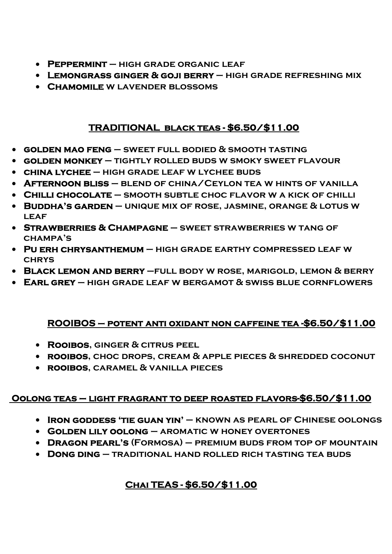- **Peppermint high grade organic leaf**
- **Lemongrass ginger & goji berry high grade refreshing mix**
- **Chamomile w lavender blossoms**

#### **TRADITIONAL black teas - \$6.50/\$11.00**

- **golden mao feng sweet full bodied & smooth tasting**
- **golden monkey tightly rolled buds w smoky sweet flavour**
- **china lychee high grade leaf w lychee buds**
- **Afternoon bliss blend of china/Ceylon tea w hints of vanilla**
- **Chilli chocolate smooth subtle choc flavor w a kick of chilli**
- **Buddha's garden unique mix of rose, jasmine, orange & lotus w leaf**
- **Strawberries & Champagne sweet strawberries w tang of champa's**
- **Pu erh chrysanthemum high grade earthy compressed leaf w chrys**
- **Black lemon and berry –full body w rose, marigold, lemon & berry**
- **Earl grey high grade leaf w bergamot & swiss blue cornflowers**

## **ROOIBOS – potent anti oxidant non caffeine tea -\$6.50/\$11.00**

- **Rooibos, ginger & citrus peel**
- **rooibos, choc drops, cream & apple pieces & shredded coconut**
- **rooibos, caramel & vanilla pieces**

## **Oolong teas – light fragrant to deep roasted flavors-\$6.50/\$11.00**

- **Iron goddess 'tie guan yin' known as pearl of Chinese oolongs**
- **Golden lily oolong aromatic w honey overtones**
- **Dragon pearl's (Formosa) premium buds from top of mountain**
- **Dong ding traditional hand rolled rich tasting tea buds**

# **Chai TEAS - \$6.50/\$11.00**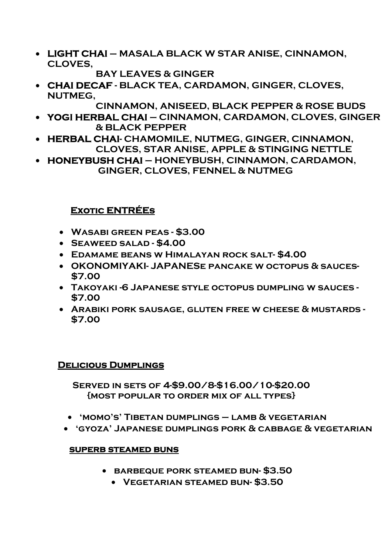• **LIGHT CHAI – MASALA BLACK W STAR ANISE, CINNAMON, CLOVES,** 

 **BAY LEAVES & GINGER** 

• **CHAI DECAF - BLACK TEA, CARDAMON, GINGER, CLOVES, NUTMEG,** 

 **CINNAMON, ANISEED, BLACK PEPPER & ROSE BUDS** 

- **YOGI HERBAL CHAI CINNAMON, CARDAMON, CLOVES, GINGER & BLACK PEPPER**
- **HERBAL CHAI- CHAMOMILE, NUTMEG, GINGER, CINNAMON, CLOVES, STAR ANISE, APPLE & STINGING NETTLE**
- **HONEYBUSH CHAI HONEYBUSH, CINNAMON, CARDAMON, GINGER, CLOVES, FENNEL & NUTMEG**

# **Exotic ENTRÉEs**

- **Wasabi green peas \$3.00**
- **Seaweed salad \$4.00**
- **Edamame beans w Himalayan rock salt- \$4.00**
- **OKONOMIYAKI- JAPANESe pancake w octopus & sauces- \$7.00**
- **Takoyaki -6 Japanese style octopus dumpling w sauces - \$7.00**
- **Arabiki pork sausage, gluten free w cheese & mustards \$7.00**

#### **Delicious Dumplings**

**Served in sets of 4-\$9.00/8-\$16.00/10-\$20.00 {most popular to order mix of all types}** 

- **'momo's' Tibetan dumplings lamb & vegetarian**
- **'gyoza' Japanese dumplings pork & cabbage & vegetarian**

#### **SUPERB STEAMED BUNS**

- **barbeque pork steamed bun- \$3.50** 
	- **Vegetarian steamed bun- \$3.50**